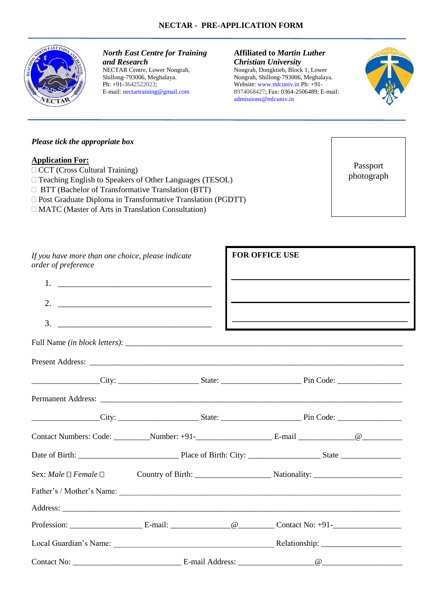

*North East Centre for Training and Research* NECTAR Centre, Lower Nongrah, Shillong-793006, Meghalaya. Ph: +91-3642522023; E-mail: nectartraining@gmail.com

## **Affiliated to** *Martin Luther Christian University*

Nongrah, Dongktieh, Block 1, Lower Nongrah, Shillong-793006, Meghalaya. Website: www.mlcuniv.in Ph: +91- 8974068427; Fax: 0364-2506489; E-mail: admissions@mlcuniv.in



# *Please tick the appropriate box*

## **Application For:**

- CCT (Cross Cultural Training)
- Teaching English to Speakers of Other Languages (TESOL)
- BTT (Bachelor of Transformative Translation (BTT)
- $\Box$  Post Graduate Diploma in Transformative Translation (PGDTT)
- MATC (Master of Arts in Translation Consultation)

Passport photograph

| If you have more than one choice, please indicate<br>order of preference |                                                                                                                                                                                                                                                                                                                        |  | FOR OFFICE USE |                                                                                                                       |  |  |
|--------------------------------------------------------------------------|------------------------------------------------------------------------------------------------------------------------------------------------------------------------------------------------------------------------------------------------------------------------------------------------------------------------|--|----------------|-----------------------------------------------------------------------------------------------------------------------|--|--|
|                                                                          |                                                                                                                                                                                                                                                                                                                        |  |                |                                                                                                                       |  |  |
|                                                                          | 2. $\frac{1}{2}$ $\frac{1}{2}$ $\frac{1}{2}$ $\frac{1}{2}$ $\frac{1}{2}$ $\frac{1}{2}$ $\frac{1}{2}$ $\frac{1}{2}$ $\frac{1}{2}$ $\frac{1}{2}$ $\frac{1}{2}$ $\frac{1}{2}$ $\frac{1}{2}$ $\frac{1}{2}$ $\frac{1}{2}$ $\frac{1}{2}$ $\frac{1}{2}$ $\frac{1}{2}$ $\frac{1}{2}$ $\frac{1}{2}$ $\frac{1}{2}$ $\frac{1}{2}$ |  |                | the contract of the contract of the contract of the contract of the contract of the contract of the contract of       |  |  |
|                                                                          |                                                                                                                                                                                                                                                                                                                        |  |                | <u> 1989 - Johann Harry Harry Harry Harry Harry Harry Harry Harry Harry Harry Harry Harry Harry Harry Harry Harry</u> |  |  |
|                                                                          |                                                                                                                                                                                                                                                                                                                        |  |                |                                                                                                                       |  |  |
|                                                                          |                                                                                                                                                                                                                                                                                                                        |  |                |                                                                                                                       |  |  |
|                                                                          |                                                                                                                                                                                                                                                                                                                        |  |                |                                                                                                                       |  |  |
|                                                                          |                                                                                                                                                                                                                                                                                                                        |  |                |                                                                                                                       |  |  |
|                                                                          |                                                                                                                                                                                                                                                                                                                        |  |                |                                                                                                                       |  |  |
|                                                                          |                                                                                                                                                                                                                                                                                                                        |  |                |                                                                                                                       |  |  |
|                                                                          |                                                                                                                                                                                                                                                                                                                        |  |                |                                                                                                                       |  |  |
|                                                                          |                                                                                                                                                                                                                                                                                                                        |  |                |                                                                                                                       |  |  |
|                                                                          |                                                                                                                                                                                                                                                                                                                        |  |                |                                                                                                                       |  |  |
|                                                                          |                                                                                                                                                                                                                                                                                                                        |  |                |                                                                                                                       |  |  |
|                                                                          |                                                                                                                                                                                                                                                                                                                        |  |                |                                                                                                                       |  |  |
|                                                                          |                                                                                                                                                                                                                                                                                                                        |  |                |                                                                                                                       |  |  |
|                                                                          |                                                                                                                                                                                                                                                                                                                        |  |                |                                                                                                                       |  |  |